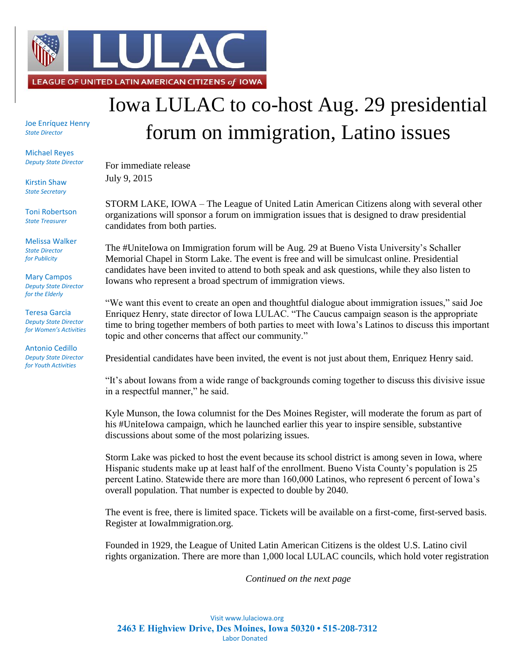

Joe Enríquez Henry *State Director*

Michael Reyes *Deputy State Director*

Kirstin Shaw *State Secretary*

Toni Robertson *State Treasurer*

Melissa Walker *State Director for Publicity*

Mary Campos *Deputy State Director for the Elderly*

Teresa Garcia *Deputy State Director for Women's Activities*

Antonio Cedillo *Deputy State Director for Youth Activities*

## Iowa LULAC to co-host Aug. 29 presidential forum on immigration, Latino issues

For immediate release July 9, 2015

STORM LAKE, IOWA – The League of United Latin American Citizens along with several other organizations will sponsor a forum on immigration issues that is designed to draw presidential candidates from both parties.

The #UniteIowa on Immigration forum will be Aug. 29 at Bueno Vista University's Schaller Memorial Chapel in Storm Lake. The event is free and will be simulcast online. Presidential candidates have been invited to attend to both speak and ask questions, while they also listen to Iowans who represent a broad spectrum of immigration views.

"We want this event to create an open and thoughtful dialogue about immigration issues," said Joe Enriquez Henry, state director of Iowa LULAC. "The Caucus campaign season is the appropriate time to bring together members of both parties to meet with Iowa's Latinos to discuss this important topic and other concerns that affect our community."

Presidential candidates have been invited, the event is not just about them, Enriquez Henry said.

"It's about Iowans from a wide range of backgrounds coming together to discuss this divisive issue in a respectful manner," he said.

Kyle Munson, the Iowa columnist for the Des Moines Register, will moderate the forum as part of his #UniteIowa campaign, which he launched earlier this year to inspire sensible, substantive discussions about some of the most polarizing issues.

Storm Lake was picked to host the event because its school district is among seven in Iowa, where Hispanic students make up at least half of the enrollment. Bueno Vista County's population is 25 percent Latino. Statewide there are more than 160,000 Latinos, who represent 6 percent of Iowa's overall population. That number is expected to double by 2040.

The event is free, there is limited space. Tickets will be available on a first-come, first-served basis. Register at IowaImmigration.org.

Founded in 1929, the League of United Latin American Citizens is the oldest U.S. Latino civil rights organization. There are more than 1,000 local LULAC councils, which hold voter registration

*Continued on the next page*